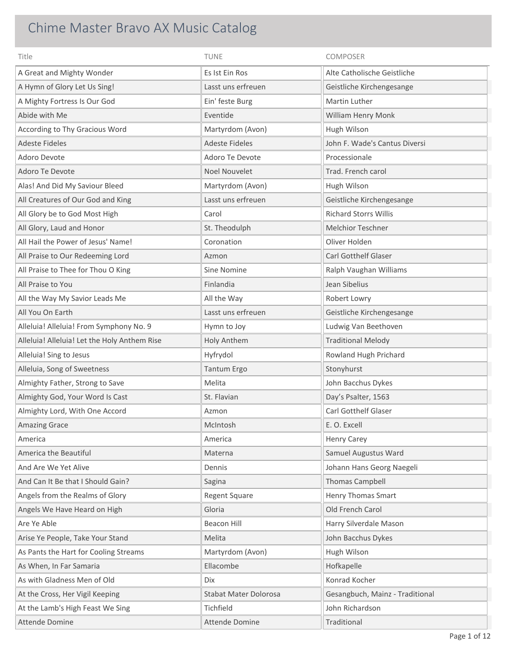## Chime Master Bravo AX Music Catalog

| Title                                        | <b>TUNE</b>                  | COMPOSER                        |
|----------------------------------------------|------------------------------|---------------------------------|
| A Great and Mighty Wonder                    | Es Ist Ein Ros               | Alte Catholische Geistliche     |
| A Hymn of Glory Let Us Sing!                 | Lasst uns erfreuen           | Geistliche Kirchengesange       |
| A Mighty Fortress Is Our God                 | Ein' feste Burg              | Martin Luther                   |
| Abide with Me                                | Eventide                     | William Henry Monk              |
| According to Thy Gracious Word               | Martyrdom (Avon)             | Hugh Wilson                     |
| <b>Adeste Fideles</b>                        | <b>Adeste Fideles</b>        | John F. Wade's Cantus Diversi   |
| Adoro Devote                                 | Adoro Te Devote              | Processionale                   |
| Adoro Te Devote                              | Noel Nouvelet                | Trad. French carol              |
| Alas! And Did My Saviour Bleed               | Martyrdom (Avon)             | Hugh Wilson                     |
| All Creatures of Our God and King            | Lasst uns erfreuen           | Geistliche Kirchengesange       |
| All Glory be to God Most High                | Carol                        | <b>Richard Storrs Willis</b>    |
| All Glory, Laud and Honor                    | St. Theodulph                | <b>Melchior Teschner</b>        |
| All Hail the Power of Jesus' Name!           | Coronation                   | Oliver Holden                   |
| All Praise to Our Redeeming Lord             | Azmon                        | Carl Gotthelf Glaser            |
| All Praise to Thee for Thou O King           | Sine Nomine                  | Ralph Vaughan Williams          |
| All Praise to You                            | Finlandia                    | Jean Sibelius                   |
| All the Way My Savior Leads Me               | All the Way                  | Robert Lowry                    |
| All You On Earth                             | Lasst uns erfreuen           | Geistliche Kirchengesange       |
| Alleluia! Alleluia! From Symphony No. 9      | Hymn to Joy                  | Ludwig Van Beethoven            |
| Alleluia! Alleluia! Let the Holy Anthem Rise | Holy Anthem                  | <b>Traditional Melody</b>       |
| Alleluia! Sing to Jesus                      | Hyfrydol                     | Rowland Hugh Prichard           |
| Alleluia, Song of Sweetness                  | Tantum Ergo                  | Stonyhurst                      |
| Almighty Father, Strong to Save              | Melita                       | John Bacchus Dykes              |
| Almighty God, Your Word Is Cast              | St. Flavian                  | Day's Psalter, 1563             |
| Almighty Lord, With One Accord               | Azmon                        | Carl Gotthelf Glaser            |
| <b>Amazing Grace</b>                         | McIntosh                     | E. O. Excell                    |
| America                                      | America                      | <b>Henry Carey</b>              |
| America the Beautiful                        | Materna                      | Samuel Augustus Ward            |
| And Are We Yet Alive                         | Dennis                       | Johann Hans Georg Naegeli       |
| And Can It Be that I Should Gain?            | Sagina                       | <b>Thomas Campbell</b>          |
| Angels from the Realms of Glory              | <b>Regent Square</b>         | <b>Henry Thomas Smart</b>       |
| Angels We Have Heard on High                 | Gloria                       | Old French Carol                |
| Are Ye Able                                  | <b>Beacon Hill</b>           | Harry Silverdale Mason          |
| Arise Ye People, Take Your Stand             | Melita                       | John Bacchus Dykes              |
| As Pants the Hart for Cooling Streams        | Martyrdom (Avon)             | Hugh Wilson                     |
| As When, In Far Samaria                      | Ellacombe                    | Hofkapelle                      |
| As with Gladness Men of Old                  | Dix                          | Konrad Kocher                   |
| At the Cross, Her Vigil Keeping              | <b>Stabat Mater Dolorosa</b> | Gesangbuch, Mainz - Traditional |
| At the Lamb's High Feast We Sing             | Tichfield                    | John Richardson                 |
| Attende Domine                               | Attende Domine               | Traditional                     |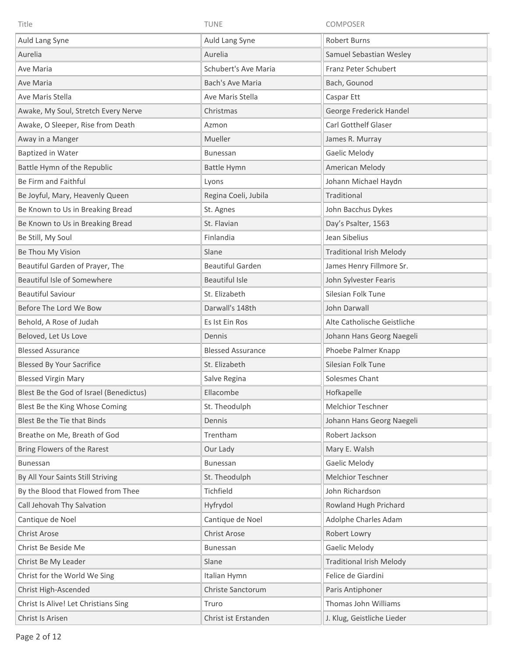| Title                                   | TUNE                     | <b>COMPOSER</b>                 |
|-----------------------------------------|--------------------------|---------------------------------|
| Auld Lang Syne                          | Auld Lang Syne           | <b>Robert Burns</b>             |
| Aurelia                                 | Aurelia                  | Samuel Sebastian Wesley         |
| Ave Maria                               | Schubert's Ave Maria     | Franz Peter Schubert            |
| Ave Maria                               | <b>Bach's Ave Maria</b>  | Bach, Gounod                    |
| Ave Maris Stella                        | Ave Maris Stella         | Caspar Ett                      |
| Awake, My Soul, Stretch Every Nerve     | Christmas                | George Frederick Handel         |
| Awake, O Sleeper, Rise from Death       | Azmon                    | <b>Carl Gotthelf Glaser</b>     |
| Away in a Manger                        | Mueller                  | James R. Murray                 |
| Baptized in Water                       | <b>Bunessan</b>          | Gaelic Melody                   |
| Battle Hymn of the Republic             | Battle Hymn              | American Melody                 |
| Be Firm and Faithful                    | Lyons                    | Johann Michael Haydn            |
| Be Joyful, Mary, Heavenly Queen         | Regina Coeli, Jubila     | Traditional                     |
| Be Known to Us in Breaking Bread        | St. Agnes                | John Bacchus Dykes              |
| Be Known to Us in Breaking Bread        | St. Flavian              | Day's Psalter, 1563             |
| Be Still, My Soul                       | Finlandia                | Jean Sibelius                   |
| Be Thou My Vision                       | Slane                    | <b>Traditional Irish Melody</b> |
| Beautiful Garden of Prayer, The         | <b>Beautiful Garden</b>  | James Henry Fillmore Sr.        |
| Beautiful Isle of Somewhere             | <b>Beautiful Isle</b>    | John Sylvester Fearis           |
| <b>Beautiful Saviour</b>                | St. Elizabeth            | Silesian Folk Tune              |
| Before The Lord We Bow                  | Darwall's 148th          | John Darwall                    |
| Behold, A Rose of Judah                 | Es Ist Ein Ros           | Alte Catholische Geistliche     |
| Beloved, Let Us Love                    | Dennis                   | Johann Hans Georg Naegeli       |
| <b>Blessed Assurance</b>                | <b>Blessed Assurance</b> | Phoebe Palmer Knapp             |
| <b>Blessed By Your Sacrifice</b>        | St. Elizabeth            | Silesian Folk Tune              |
| <b>Blessed Virgin Mary</b>              | Salve Regina             | Solesmes Chant                  |
| Blest Be the God of Israel (Benedictus) | Ellacombe                | Hofkapelle                      |
| Blest Be the King Whose Coming          | St. Theodulph            | <b>Melchior Teschner</b>        |
| Blest Be the Tie that Binds             | Dennis                   | Johann Hans Georg Naegeli       |
| Breathe on Me, Breath of God            | Trentham                 | Robert Jackson                  |
| Bring Flowers of the Rarest             | Our Lady                 | Mary E. Walsh                   |
| <b>Bunessan</b>                         | Bunessan                 | Gaelic Melody                   |
| By All Your Saints Still Striving       | St. Theodulph            | Melchior Teschner               |
| By the Blood that Flowed from Thee      | Tichfield                | John Richardson                 |
| Call Jehovah Thy Salvation              | Hyfrydol                 | Rowland Hugh Prichard           |
| Cantique de Noel                        | Cantique de Noel         | Adolphe Charles Adam            |
| Christ Arose                            | Christ Arose             | Robert Lowry                    |
| Christ Be Beside Me                     | <b>Bunessan</b>          | Gaelic Melody                   |
| Christ Be My Leader                     | Slane                    | <b>Traditional Irish Melody</b> |
| Christ for the World We Sing            | Italian Hymn             | Felice de Giardini              |
| Christ High-Ascended                    | Christe Sanctorum        | Paris Antiphoner                |
| Christ Is Alive! Let Christians Sing    | Truro                    | Thomas John Williams            |
| Christ Is Arisen                        | Christ ist Erstanden     | J. Klug, Geistliche Lieder      |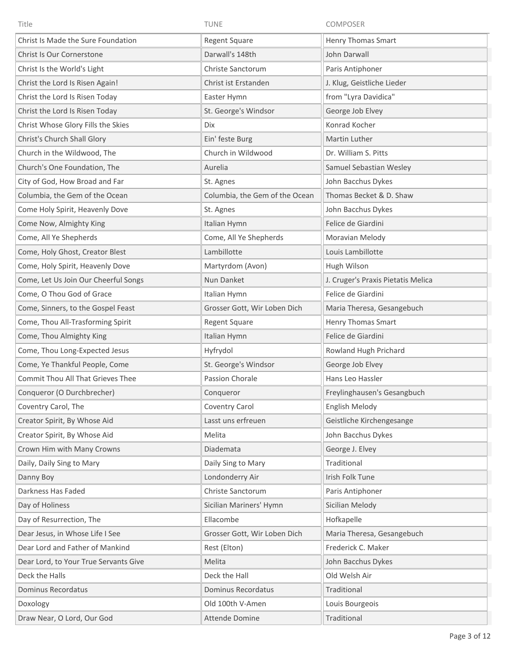| Title                                 | <b>TUNE</b>                    | COMPOSER                           |
|---------------------------------------|--------------------------------|------------------------------------|
| Christ Is Made the Sure Foundation    | <b>Regent Square</b>           | Henry Thomas Smart                 |
| Christ Is Our Cornerstone             | Darwall's 148th                | John Darwall                       |
| Christ Is the World's Light           | Christe Sanctorum              | Paris Antiphoner                   |
| Christ the Lord Is Risen Again!       | Christ ist Erstanden           | J. Klug, Geistliche Lieder         |
| Christ the Lord Is Risen Today        | Easter Hymn                    | from "Lyra Davidica"               |
| Christ the Lord Is Risen Today        | St. George's Windsor           | George Job Elvey                   |
| Christ Whose Glory Fills the Skies    | <b>Dix</b>                     | Konrad Kocher                      |
| Christ's Church Shall Glory           | Ein' feste Burg                | Martin Luther                      |
| Church in the Wildwood, The           | Church in Wildwood             | Dr. William S. Pitts               |
| Church's One Foundation, The          | Aurelia                        | Samuel Sebastian Wesley            |
| City of God, How Broad and Far        | St. Agnes                      | John Bacchus Dykes                 |
| Columbia, the Gem of the Ocean        | Columbia, the Gem of the Ocean | Thomas Becket & D. Shaw            |
| Come Holy Spirit, Heavenly Dove       | St. Agnes                      | John Bacchus Dykes                 |
| Come Now, Almighty King               | Italian Hymn                   | Felice de Giardini                 |
| Come, All Ye Shepherds                | Come, All Ye Shepherds         | Moravian Melody                    |
| Come, Holy Ghost, Creator Blest       | Lambillotte                    | Louis Lambillotte                  |
| Come, Holy Spirit, Heavenly Dove      | Martyrdom (Avon)               | Hugh Wilson                        |
| Come, Let Us Join Our Cheerful Songs  | Nun Danket                     | J. Cruger's Praxis Pietatis Melica |
| Come, O Thou God of Grace             | Italian Hymn                   | Felice de Giardini                 |
| Come, Sinners, to the Gospel Feast    | Grosser Gott, Wir Loben Dich   | Maria Theresa, Gesangebuch         |
| Come, Thou All-Trasforming Spirit     | Regent Square                  | Henry Thomas Smart                 |
| Come, Thou Almighty King              | Italian Hymn                   | Felice de Giardini                 |
| Come, Thou Long-Expected Jesus        | Hyfrydol                       | Rowland Hugh Prichard              |
| Come, Ye Thankful People, Come        | St. George's Windsor           | George Job Elvey                   |
| Commit Thou All That Grieves Thee     | Passion Chorale                | Hans Leo Hassler                   |
| Conqueror (O Durchbrecher)            | Conqueror                      | Freylinghausen's Gesangbuch        |
| Coventry Carol, The                   | Coventry Carol                 | English Melody                     |
| Creator Spirit, By Whose Aid          | Lasst uns erfreuen             | Geistliche Kirchengesange          |
| Creator Spirit, By Whose Aid          | Melita                         | John Bacchus Dykes                 |
| Crown Him with Many Crowns            | Diademata                      | George J. Elvey                    |
| Daily, Daily Sing to Mary             | Daily Sing to Mary             | Traditional                        |
| Danny Boy                             | Londonderry Air                | Irish Folk Tune                    |
| Darkness Has Faded                    | Christe Sanctorum              | Paris Antiphoner                   |
| Day of Holiness                       | Sicilian Mariners' Hymn        | Sicilian Melody                    |
| Day of Resurrection, The              | Ellacombe                      | Hofkapelle                         |
| Dear Jesus, in Whose Life I See       | Grosser Gott, Wir Loben Dich   | Maria Theresa, Gesangebuch         |
| Dear Lord and Father of Mankind       | Rest (Elton)                   | Frederick C. Maker                 |
| Dear Lord, to Your True Servants Give | Melita                         | John Bacchus Dykes                 |
| Deck the Halls                        | Deck the Hall                  | Old Welsh Air                      |
| Dominus Recordatus                    | Dominus Recordatus             | Traditional                        |
| Doxology                              | Old 100th V-Amen               | Louis Bourgeois                    |
| Draw Near, O Lord, Our God            | Attende Domine                 | Traditional                        |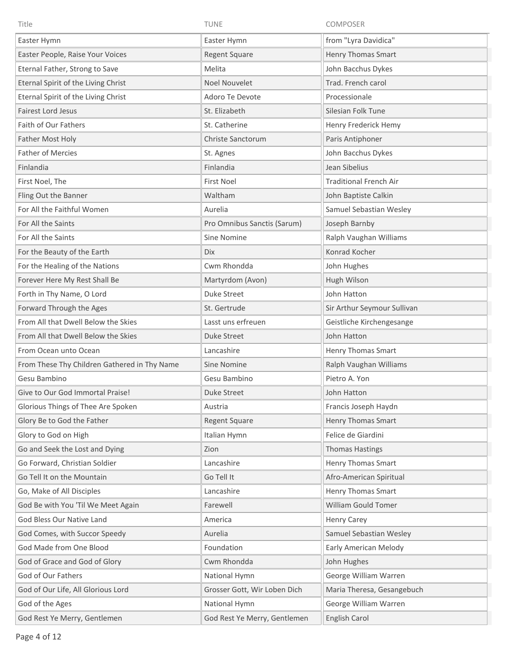| Title                                        | <b>TUNE</b>                  | COMPOSER                      |
|----------------------------------------------|------------------------------|-------------------------------|
| Easter Hymn                                  | Easter Hymn                  | from "Lyra Davidica"          |
| Easter People, Raise Your Voices             | <b>Regent Square</b>         | <b>Henry Thomas Smart</b>     |
| Eternal Father, Strong to Save               | Melita                       | John Bacchus Dykes            |
| Eternal Spirit of the Living Christ          | <b>Noel Nouvelet</b>         | Trad. French carol            |
| Eternal Spirit of the Living Christ          | Adoro Te Devote              | Processionale                 |
| <b>Fairest Lord Jesus</b>                    | St. Elizabeth                | Silesian Folk Tune            |
| Faith of Our Fathers                         | St. Catherine                | Henry Frederick Hemy          |
| Father Most Holy                             | Christe Sanctorum            | Paris Antiphoner              |
| <b>Father of Mercies</b>                     | St. Agnes                    | John Bacchus Dykes            |
| Finlandia                                    | Finlandia                    | Jean Sibelius                 |
| First Noel, The                              | <b>First Noel</b>            | <b>Traditional French Air</b> |
| Fling Out the Banner                         | Waltham                      | John Baptiste Calkin          |
| For All the Faithful Women                   | Aurelia                      | Samuel Sebastian Wesley       |
| For All the Saints                           | Pro Omnibus Sanctis (Sarum)  | Joseph Barnby                 |
| For All the Saints                           | Sine Nomine                  | Ralph Vaughan Williams        |
| For the Beauty of the Earth                  | <b>Dix</b>                   | Konrad Kocher                 |
| For the Healing of the Nations               | Cwm Rhondda                  | John Hughes                   |
| Forever Here My Rest Shall Be                | Martyrdom (Avon)             | Hugh Wilson                   |
| Forth in Thy Name, O Lord                    | <b>Duke Street</b>           | John Hatton                   |
| Forward Through the Ages                     | St. Gertrude                 | Sir Arthur Seymour Sullivan   |
| From All that Dwell Below the Skies          | Lasst uns erfreuen           | Geistliche Kirchengesange     |
| From All that Dwell Below the Skies          | Duke Street                  | John Hatton                   |
| From Ocean unto Ocean                        | Lancashire                   | Henry Thomas Smart            |
| From These Thy Children Gathered in Thy Name | Sine Nomine                  | Ralph Vaughan Williams        |
| Gesu Bambino                                 | Gesu Bambino                 | Pietro A. Yon                 |
| Give to Our God Immortal Praise!             | <b>Duke Street</b>           | John Hatton                   |
| Glorious Things of Thee Are Spoken           | Austria                      | Francis Joseph Haydn          |
| Glory Be to God the Father                   | <b>Regent Square</b>         | Henry Thomas Smart            |
| Glory to God on High                         | Italian Hymn                 | Felice de Giardini            |
| Go and Seek the Lost and Dying               | Zion                         | <b>Thomas Hastings</b>        |
| Go Forward, Christian Soldier                | Lancashire                   | <b>Henry Thomas Smart</b>     |
| Go Tell It on the Mountain                   | Go Tell It                   | Afro-American Spiritual       |
| Go, Make of All Disciples                    | Lancashire                   | <b>Henry Thomas Smart</b>     |
| God Be with You 'Til We Meet Again           | Farewell                     | William Gould Tomer           |
| God Bless Our Native Land                    | America                      | <b>Henry Carey</b>            |
| God Comes, with Succor Speedy                | Aurelia                      | Samuel Sebastian Wesley       |
| God Made from One Blood                      | Foundation                   | Early American Melody         |
| God of Grace and God of Glory                | Cwm Rhondda                  | John Hughes                   |
| God of Our Fathers                           | National Hymn                | George William Warren         |
| God of Our Life, All Glorious Lord           | Grosser Gott, Wir Loben Dich | Maria Theresa, Gesangebuch    |
| God of the Ages                              | National Hymn                | George William Warren         |
| God Rest Ye Merry, Gentlemen                 | God Rest Ye Merry, Gentlemen | English Carol                 |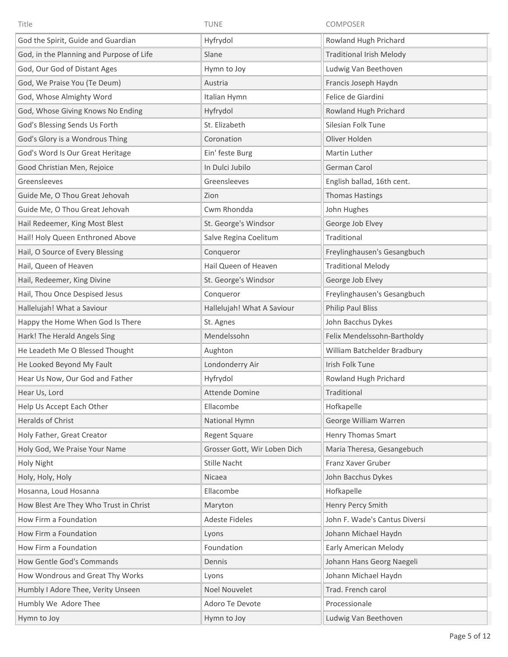| Title                                    | <b>TUNE</b>                  | COMPOSER                        |
|------------------------------------------|------------------------------|---------------------------------|
| God the Spirit, Guide and Guardian       | Hyfrydol                     | Rowland Hugh Prichard           |
| God, in the Planning and Purpose of Life | Slane                        | <b>Traditional Irish Melody</b> |
| God, Our God of Distant Ages             | Hymn to Joy                  | Ludwig Van Beethoven            |
| God, We Praise You (Te Deum)             | Austria                      | Francis Joseph Haydn            |
| God, Whose Almighty Word                 | Italian Hymn                 | Felice de Giardini              |
| God, Whose Giving Knows No Ending        | Hyfrydol                     | Rowland Hugh Prichard           |
| God's Blessing Sends Us Forth            | St. Elizabeth                | Silesian Folk Tune              |
| God's Glory is a Wondrous Thing          | Coronation                   | Oliver Holden                   |
| God's Word Is Our Great Heritage         | Ein' feste Burg              | Martin Luther                   |
| Good Christian Men, Rejoice              | In Dulci Jubilo              | German Carol                    |
| Greensleeves                             | Greensleeves                 | English ballad, 16th cent.      |
| Guide Me, O Thou Great Jehovah           | Zion                         | <b>Thomas Hastings</b>          |
| Guide Me, O Thou Great Jehovah           | Cwm Rhondda                  | John Hughes                     |
| Hail Redeemer, King Most Blest           | St. George's Windsor         | George Job Elvey                |
| Hail! Holy Queen Enthroned Above         | Salve Regina Coelitum        | Traditional                     |
| Hail, O Source of Every Blessing         | Conqueror                    | Freylinghausen's Gesangbuch     |
| Hail, Queen of Heaven                    | Hail Queen of Heaven         | <b>Traditional Melody</b>       |
| Hail, Redeemer, King Divine              | St. George's Windsor         | George Job Elvey                |
| Hail, Thou Once Despised Jesus           | Conqueror                    | Freylinghausen's Gesangbuch     |
| Hallelujah! What a Saviour               | Hallelujah! What A Saviour   | Philip Paul Bliss               |
| Happy the Home When God Is There         | St. Agnes                    | John Bacchus Dykes              |
| Hark! The Herald Angels Sing             | Mendelssohn                  | Felix Mendelssohn-Bartholdy     |
| He Leadeth Me O Blessed Thought          | Aughton                      | William Batchelder Bradbury     |
| He Looked Beyond My Fault                | Londonderry Air              | Irish Folk Tune                 |
| Hear Us Now, Our God and Father          | Hyfrydol                     | Rowland Hugh Prichard           |
| Hear Us, Lord                            | <b>Attende Domine</b>        | Traditional                     |
| Help Us Accept Each Other                | Ellacombe                    | Hofkapelle                      |
| <b>Heralds of Christ</b>                 | National Hymn                | George William Warren           |
| Holy Father, Great Creator               | Regent Square                | Henry Thomas Smart              |
| Holy God, We Praise Your Name            | Grosser Gott, Wir Loben Dich | Maria Theresa, Gesangebuch      |
| Holy Night                               | Stille Nacht                 | Franz Xaver Gruber              |
| Holy, Holy, Holy                         | Nicaea                       | John Bacchus Dykes              |
| Hosanna, Loud Hosanna                    | Ellacombe                    | Hofkapelle                      |
| How Blest Are They Who Trust in Christ   | Maryton                      | Henry Percy Smith               |
| How Firm a Foundation                    | Adeste Fideles               | John F. Wade's Cantus Diversi   |
| How Firm a Foundation                    | Lyons                        | Johann Michael Haydn            |
| How Firm a Foundation                    | Foundation                   | Early American Melody           |
| How Gentle God's Commands                | Dennis                       | Johann Hans Georg Naegeli       |
| How Wondrous and Great Thy Works         | Lyons                        | Johann Michael Haydn            |
| Humbly I Adore Thee, Verity Unseen       | Noel Nouvelet                | Trad. French carol              |
| Humbly We Adore Thee                     | Adoro Te Devote              | Processionale                   |
| Hymn to Joy                              | Hymn to Joy                  | Ludwig Van Beethoven            |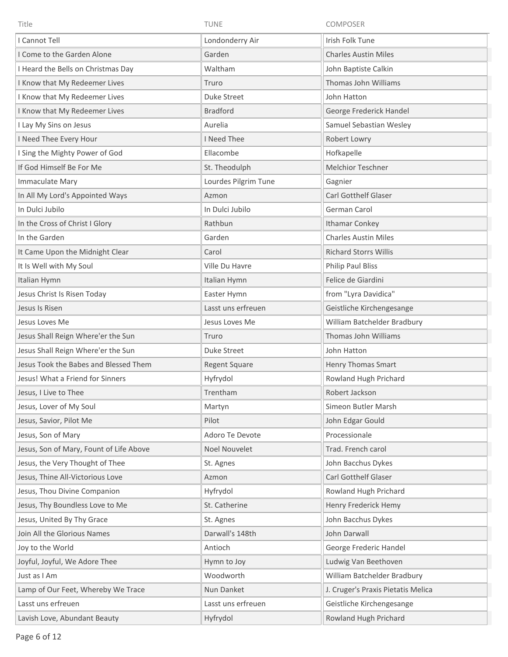| Title                                   | <b>TUNE</b>          | COMPOSER                           |
|-----------------------------------------|----------------------|------------------------------------|
| I Cannot Tell                           | Londonderry Air      | Irish Folk Tune                    |
| I Come to the Garden Alone              | Garden               | <b>Charles Austin Miles</b>        |
| I Heard the Bells on Christmas Day      | Waltham              | John Baptiste Calkin               |
| I Know that My Redeemer Lives           | Truro                | Thomas John Williams               |
| I Know that My Redeemer Lives           | Duke Street          | John Hatton                        |
| I Know that My Redeemer Lives           | <b>Bradford</b>      | George Frederick Handel            |
| I Lay My Sins on Jesus                  | Aurelia              | Samuel Sebastian Wesley            |
| I Need Thee Every Hour                  | I Need Thee          | Robert Lowry                       |
| I Sing the Mighty Power of God          | Ellacombe            | Hofkapelle                         |
| If God Himself Be For Me                | St. Theodulph        | <b>Melchior Teschner</b>           |
| Immaculate Mary                         | Lourdes Pilgrim Tune | Gagnier                            |
| In All My Lord's Appointed Ways         | Azmon                | <b>Carl Gotthelf Glaser</b>        |
| In Dulci Jubilo                         | In Dulci Jubilo      | German Carol                       |
| In the Cross of Christ I Glory          | Rathbun              | <b>Ithamar Conkey</b>              |
| In the Garden                           | Garden               | <b>Charles Austin Miles</b>        |
| It Came Upon the Midnight Clear         | Carol                | <b>Richard Storrs Willis</b>       |
| It Is Well with My Soul                 | Ville Du Havre       | <b>Philip Paul Bliss</b>           |
| Italian Hymn                            | Italian Hymn         | Felice de Giardini                 |
| Jesus Christ Is Risen Today             | Easter Hymn          | from "Lyra Davidica"               |
| Jesus Is Risen                          | Lasst uns erfreuen   | Geistliche Kirchengesange          |
| Jesus Loves Me                          | Jesus Loves Me       | William Batchelder Bradbury        |
| Jesus Shall Reign Where'er the Sun      | Truro                | Thomas John Williams               |
| Jesus Shall Reign Where'er the Sun      | Duke Street          | John Hatton                        |
| Jesus Took the Babes and Blessed Them   | <b>Regent Square</b> | <b>Henry Thomas Smart</b>          |
| Jesus! What a Friend for Sinners        | Hyfrydol             | Rowland Hugh Prichard              |
| Jesus, I Live to Thee                   | Trentham             | Robert Jackson                     |
| Jesus, Lover of My Soul                 | Martyn               | Simeon Butler Marsh                |
| Jesus, Savior, Pilot Me                 | Pilot                | John Edgar Gould                   |
| Jesus, Son of Mary                      | Adoro Te Devote      | Processionale                      |
| Jesus, Son of Mary, Fount of Life Above | Noel Nouvelet        | Trad. French carol                 |
| Jesus, the Very Thought of Thee         | St. Agnes            | John Bacchus Dykes                 |
| Jesus, Thine All-Victorious Love        | Azmon                | Carl Gotthelf Glaser               |
| Jesus, Thou Divine Companion            | Hyfrydol             | Rowland Hugh Prichard              |
| Jesus, Thy Boundless Love to Me         | St. Catherine        | Henry Frederick Hemy               |
| Jesus, United By Thy Grace              | St. Agnes            | John Bacchus Dykes                 |
| Join All the Glorious Names             | Darwall's 148th      | John Darwall                       |
| Joy to the World                        | Antioch              | George Frederic Handel             |
| Joyful, Joyful, We Adore Thee           | Hymn to Joy          | Ludwig Van Beethoven               |
| Just as I Am                            | Woodworth            | William Batchelder Bradbury        |
| Lamp of Our Feet, Whereby We Trace      | Nun Danket           | J. Cruger's Praxis Pietatis Melica |
| Lasst uns erfreuen                      | Lasst uns erfreuen   | Geistliche Kirchengesange          |
| Lavish Love, Abundant Beauty            | Hyfrydol             | Rowland Hugh Prichard              |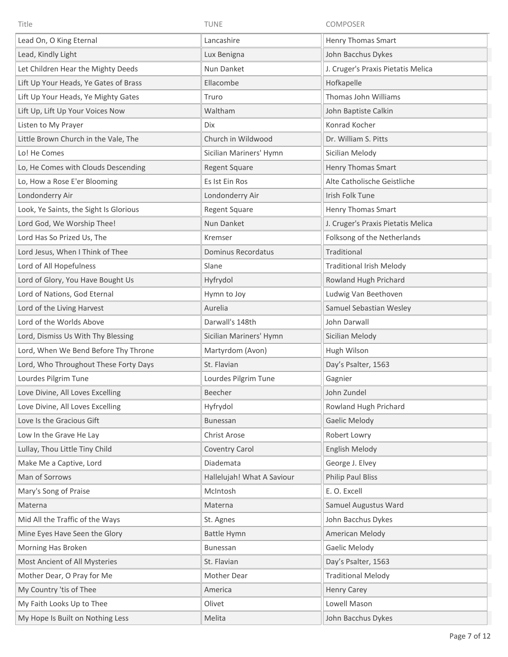| Title                                  | <b>TUNE</b>                | COMPOSER                           |
|----------------------------------------|----------------------------|------------------------------------|
| Lead On, O King Eternal                | Lancashire                 | Henry Thomas Smart                 |
| Lead, Kindly Light                     | Lux Benigna                | John Bacchus Dykes                 |
| Let Children Hear the Mighty Deeds     | Nun Danket                 | J. Cruger's Praxis Pietatis Melica |
| Lift Up Your Heads, Ye Gates of Brass  | Ellacombe                  | Hofkapelle                         |
| Lift Up Your Heads, Ye Mighty Gates    | Truro                      | Thomas John Williams               |
| Lift Up, Lift Up Your Voices Now       | Waltham                    | John Baptiste Calkin               |
| Listen to My Prayer                    | Dix                        | Konrad Kocher                      |
| Little Brown Church in the Vale, The   | Church in Wildwood         | Dr. William S. Pitts               |
| Lo! He Comes                           | Sicilian Mariners' Hymn    | Sicilian Melody                    |
| Lo, He Comes with Clouds Descending    | <b>Regent Square</b>       | Henry Thomas Smart                 |
| Lo, How a Rose E'er Blooming           | Es Ist Ein Ros             | Alte Catholische Geistliche        |
| Londonderry Air                        | Londonderry Air            | Irish Folk Tune                    |
| Look, Ye Saints, the Sight Is Glorious | Regent Square              | <b>Henry Thomas Smart</b>          |
| Lord God, We Worship Thee!             | Nun Danket                 | J. Cruger's Praxis Pietatis Melica |
| Lord Has So Prized Us, The             | Kremser                    | Folksong of the Netherlands        |
| Lord Jesus, When I Think of Thee       | Dominus Recordatus         | Traditional                        |
| Lord of All Hopefulness                | Slane                      | <b>Traditional Irish Melody</b>    |
| Lord of Glory, You Have Bought Us      | Hyfrydol                   | Rowland Hugh Prichard              |
| Lord of Nations, God Eternal           | Hymn to Joy                | Ludwig Van Beethoven               |
| Lord of the Living Harvest             | Aurelia                    | Samuel Sebastian Wesley            |
| Lord of the Worlds Above               | Darwall's 148th            | John Darwall                       |
| Lord, Dismiss Us With Thy Blessing     | Sicilian Mariners' Hymn    | Sicilian Melody                    |
| Lord, When We Bend Before Thy Throne   | Martyrdom (Avon)           | Hugh Wilson                        |
| Lord, Who Throughout These Forty Days  | St. Flavian                | Day's Psalter, 1563                |
| Lourdes Pilgrim Tune                   | Lourdes Pilgrim Tune       | Gagnier                            |
| Love Divine, All Loves Excelling       | Beecher                    | John Zundel                        |
| Love Divine, All Loves Excelling       | Hyfrydol                   | Rowland Hugh Prichard              |
| Love Is the Gracious Gift              | <b>Bunessan</b>            | Gaelic Melody                      |
| Low In the Grave He Lay                | Christ Arose               | Robert Lowry                       |
| Lullay, Thou Little Tiny Child         | Coventry Carol             | <b>English Melody</b>              |
| Make Me a Captive, Lord                | Diademata                  | George J. Elvey                    |
| Man of Sorrows                         | Hallelujah! What A Saviour | <b>Philip Paul Bliss</b>           |
| Mary's Song of Praise                  | McIntosh                   | E. O. Excell                       |
| Materna                                | Materna                    | Samuel Augustus Ward               |
| Mid All the Traffic of the Ways        | St. Agnes                  | John Bacchus Dykes                 |
| Mine Eyes Have Seen the Glory          | Battle Hymn                | American Melody                    |
| Morning Has Broken                     | Bunessan                   | Gaelic Melody                      |
| Most Ancient of All Mysteries          | St. Flavian                | Day's Psalter, 1563                |
| Mother Dear, O Pray for Me             | Mother Dear                | <b>Traditional Melody</b>          |
| My Country 'tis of Thee                | America                    | <b>Henry Carey</b>                 |
| My Faith Looks Up to Thee              | Olivet                     | Lowell Mason                       |
| My Hope Is Built on Nothing Less       | Melita                     | John Bacchus Dykes                 |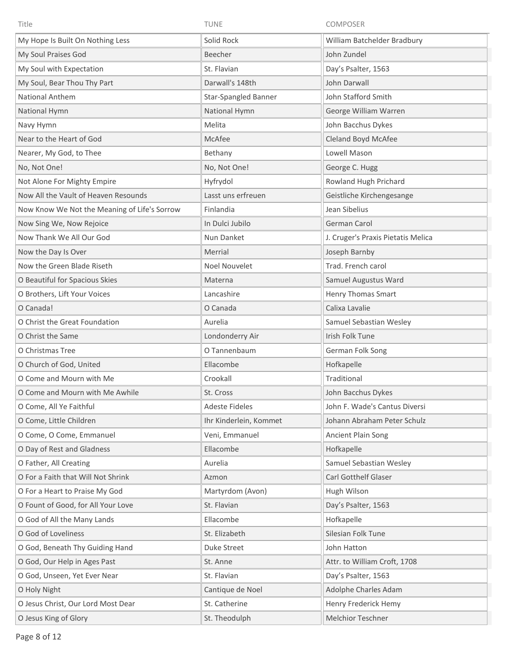| Title                                        | TUNE                        | <b>COMPOSER</b>                    |
|----------------------------------------------|-----------------------------|------------------------------------|
| My Hope Is Built On Nothing Less             | Solid Rock                  | William Batchelder Bradbury        |
| My Soul Praises God                          | Beecher                     | John Zundel                        |
| My Soul with Expectation                     | St. Flavian                 | Day's Psalter, 1563                |
| My Soul, Bear Thou Thy Part                  | Darwall's 148th             | John Darwall                       |
| National Anthem                              | <b>Star-Spangled Banner</b> | John Stafford Smith                |
| National Hymn                                | National Hymn               | George William Warren              |
| Navy Hymn                                    | Melita                      | John Bacchus Dykes                 |
| Near to the Heart of God                     | McAfee                      | Cleland Boyd McAfee                |
| Nearer, My God, to Thee                      | Bethany                     | Lowell Mason                       |
| No, Not One!                                 | No, Not One!                | George C. Hugg                     |
| Not Alone For Mighty Empire                  | Hyfrydol                    | Rowland Hugh Prichard              |
| Now All the Vault of Heaven Resounds         | Lasst uns erfreuen          | Geistliche Kirchengesange          |
| Now Know We Not the Meaning of Life's Sorrow | Finlandia                   | Jean Sibelius                      |
| Now Sing We, Now Rejoice                     | In Dulci Jubilo             | German Carol                       |
| Now Thank We All Our God                     | Nun Danket                  | J. Cruger's Praxis Pietatis Melica |
| Now the Day Is Over                          | Merrial                     | Joseph Barnby                      |
| Now the Green Blade Riseth                   | Noel Nouvelet               | Trad. French carol                 |
| O Beautiful for Spacious Skies               | Materna                     | Samuel Augustus Ward               |
| O Brothers, Lift Your Voices                 | Lancashire                  | Henry Thomas Smart                 |
| O Canada!                                    | O Canada                    | Calixa Lavalie                     |
| O Christ the Great Foundation                | Aurelia                     | Samuel Sebastian Wesley            |
| O Christ the Same                            | Londonderry Air             | Irish Folk Tune                    |
| O Christmas Tree                             | O Tannenbaum                | German Folk Song                   |
| O Church of God, United                      | Ellacombe                   | Hofkapelle                         |
| O Come and Mourn with Me                     | Crookall                    | Traditional                        |
| O Come and Mourn with Me Awhile              | St. Cross                   | John Bacchus Dykes                 |
| O Come, All Ye Faithful                      | <b>Adeste Fideles</b>       | John F. Wade's Cantus Diversi      |
| O Come, Little Children                      | Ihr Kinderlein, Kommet      | Johann Abraham Peter Schulz        |
| O Come, O Come, Emmanuel                     | Veni, Emmanuel              | Ancient Plain Song                 |
| O Day of Rest and Gladness                   | Ellacombe                   | Hofkapelle                         |
| O Father, All Creating                       | Aurelia                     | Samuel Sebastian Wesley            |
| O For a Faith that Will Not Shrink           | Azmon                       | <b>Carl Gotthelf Glaser</b>        |
| O For a Heart to Praise My God               | Martyrdom (Avon)            | Hugh Wilson                        |
| O Fount of Good, for All Your Love           | St. Flavian                 | Day's Psalter, 1563                |
| O God of All the Many Lands                  | Ellacombe                   | Hofkapelle                         |
| O God of Loveliness                          | St. Elizabeth               | Silesian Folk Tune                 |
| O God, Beneath Thy Guiding Hand              | Duke Street                 | John Hatton                        |
| O God, Our Help in Ages Past                 | St. Anne                    | Attr. to William Croft, 1708       |
| O God, Unseen, Yet Ever Near                 | St. Flavian                 | Day's Psalter, 1563                |
| O Holy Night                                 | Cantique de Noel            | Adolphe Charles Adam               |
| O Jesus Christ, Our Lord Most Dear           | St. Catherine               | Henry Frederick Hemy               |
| O Jesus King of Glory                        | St. Theodulph               | Melchior Teschner                  |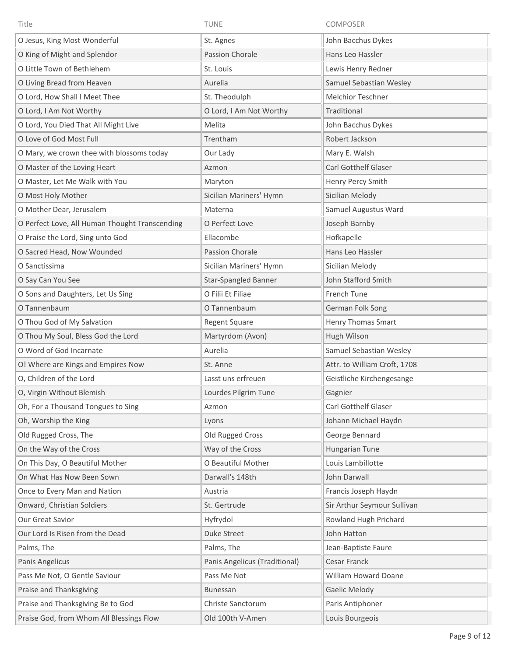| Title                                          | <b>TUNE</b>                   | <b>COMPOSER</b>              |
|------------------------------------------------|-------------------------------|------------------------------|
| O Jesus, King Most Wonderful                   | St. Agnes                     | John Bacchus Dykes           |
| O King of Might and Splendor                   | <b>Passion Chorale</b>        | Hans Leo Hassler             |
| O Little Town of Bethlehem                     | St. Louis                     | Lewis Henry Redner           |
| O Living Bread from Heaven                     | Aurelia                       | Samuel Sebastian Wesley      |
| O Lord, How Shall I Meet Thee                  | St. Theodulph                 | <b>Melchior Teschner</b>     |
| O Lord, I Am Not Worthy                        | O Lord, I Am Not Worthy       | Traditional                  |
| O Lord, You Died That All Might Live           | Melita                        | John Bacchus Dykes           |
| O Love of God Most Full                        | Trentham                      | Robert Jackson               |
| O Mary, we crown thee with blossoms today      | Our Lady                      | Mary E. Walsh                |
| O Master of the Loving Heart                   | Azmon                         | <b>Carl Gotthelf Glaser</b>  |
| O Master, Let Me Walk with You                 | Maryton                       | Henry Percy Smith            |
| O Most Holy Mother                             | Sicilian Mariners' Hymn       | Sicilian Melody              |
| O Mother Dear, Jerusalem                       | Materna                       | Samuel Augustus Ward         |
| O Perfect Love, All Human Thought Transcending | O Perfect Love                | Joseph Barnby                |
| O Praise the Lord, Sing unto God               | Ellacombe                     | Hofkapelle                   |
| O Sacred Head, Now Wounded                     | Passion Chorale               | Hans Leo Hassler             |
| O Sanctissima                                  | Sicilian Mariners' Hymn       | Sicilian Melody              |
| O Say Can You See                              | Star-Spangled Banner          | John Stafford Smith          |
| O Sons and Daughters, Let Us Sing              | O Filii Et Filiae             | French Tune                  |
| O Tannenbaum                                   | O Tannenbaum                  | German Folk Song             |
| O Thou God of My Salvation                     | Regent Square                 | Henry Thomas Smart           |
| O Thou My Soul, Bless God the Lord             | Martyrdom (Avon)              | Hugh Wilson                  |
| O Word of God Incarnate                        | Aurelia                       | Samuel Sebastian Wesley      |
| O! Where are Kings and Empires Now             | St. Anne                      | Attr. to William Croft, 1708 |
| O, Children of the Lord                        | Lasst uns erfreuen            | Geistliche Kirchengesange    |
| O, Virgin Without Blemish                      | Lourdes Pilgrim Tune          | Gagnier                      |
| Oh, For a Thousand Tongues to Sing             | Azmon                         | Carl Gotthelf Glaser         |
| Oh, Worship the King                           | Lyons                         | Johann Michael Haydn         |
| Old Rugged Cross, The                          | Old Rugged Cross              | George Bennard               |
| On the Way of the Cross                        | Way of the Cross              | Hungarian Tune               |
| On This Day, O Beautiful Mother                | O Beautiful Mother            | Louis Lambillotte            |
| On What Has Now Been Sown                      | Darwall's 148th               | John Darwall                 |
| Once to Every Man and Nation                   | Austria                       | Francis Joseph Haydn         |
| Onward, Christian Soldiers                     | St. Gertrude                  | Sir Arthur Seymour Sullivan  |
| Our Great Savior                               | Hyfrydol                      | Rowland Hugh Prichard        |
| Our Lord Is Risen from the Dead                | <b>Duke Street</b>            | John Hatton                  |
| Palms, The                                     | Palms, The                    | Jean-Baptiste Faure          |
| Panis Angelicus                                | Panis Angelicus (Traditional) | Cesar Franck                 |
| Pass Me Not, O Gentle Saviour                  | Pass Me Not                   | William Howard Doane         |
| Praise and Thanksgiving                        | Bunessan                      | Gaelic Melody                |
| Praise and Thanksgiving Be to God              | Christe Sanctorum             | Paris Antiphoner             |
| Praise God, from Whom All Blessings Flow       | Old 100th V-Amen              | Louis Bourgeois              |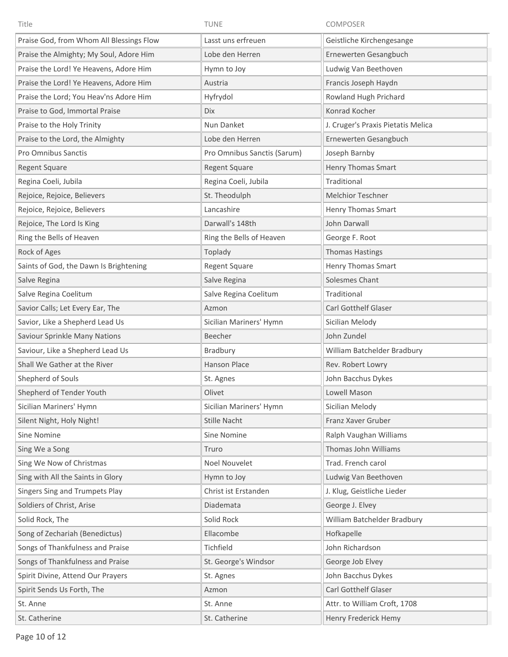| Title                                    | TUNE                        | COMPOSER                           |
|------------------------------------------|-----------------------------|------------------------------------|
| Praise God, from Whom All Blessings Flow | Lasst uns erfreuen          | Geistliche Kirchengesange          |
| Praise the Almighty; My Soul, Adore Him  | Lobe den Herren             | Ernewerten Gesangbuch              |
| Praise the Lord! Ye Heavens, Adore Him   | Hymn to Joy                 | Ludwig Van Beethoven               |
| Praise the Lord! Ye Heavens, Adore Him   | Austria                     | Francis Joseph Haydn               |
| Praise the Lord; You Heav'ns Adore Him   | Hyfrydol                    | Rowland Hugh Prichard              |
| Praise to God, Immortal Praise           | Dix                         | Konrad Kocher                      |
| Praise to the Holy Trinity               | Nun Danket                  | J. Cruger's Praxis Pietatis Melica |
| Praise to the Lord, the Almighty         | Lobe den Herren             | Ernewerten Gesangbuch              |
| Pro Omnibus Sanctis                      | Pro Omnibus Sanctis (Sarum) | Joseph Barnby                      |
| <b>Regent Square</b>                     | <b>Regent Square</b>        | <b>Henry Thomas Smart</b>          |
| Regina Coeli, Jubila                     | Regina Coeli, Jubila        | Traditional                        |
| Rejoice, Rejoice, Believers              | St. Theodulph               | Melchior Teschner                  |
| Rejoice, Rejoice, Believers              | Lancashire                  | Henry Thomas Smart                 |
| Rejoice, The Lord Is King                | Darwall's 148th             | John Darwall                       |
| Ring the Bells of Heaven                 | Ring the Bells of Heaven    | George F. Root                     |
| Rock of Ages                             | Toplady                     | <b>Thomas Hastings</b>             |
| Saints of God, the Dawn Is Brightening   | <b>Regent Square</b>        | Henry Thomas Smart                 |
| Salve Regina                             | Salve Regina                | Solesmes Chant                     |
| Salve Regina Coelitum                    | Salve Regina Coelitum       | Traditional                        |
| Savior Calls; Let Every Ear, The         | Azmon                       | Carl Gotthelf Glaser               |
| Savior, Like a Shepherd Lead Us          | Sicilian Mariners' Hymn     | Sicilian Melody                    |
| Saviour Sprinkle Many Nations            | Beecher                     | John Zundel                        |
| Saviour, Like a Shepherd Lead Us         | Bradbury                    | William Batchelder Bradbury        |
| Shall We Gather at the River             | Hanson Place                | Rev. Robert Lowry                  |
| Shepherd of Souls                        | St. Agnes                   | John Bacchus Dykes                 |
| Shepherd of Tender Youth                 | Olivet                      | Lowell Mason                       |
| Sicilian Mariners' Hymn                  | Sicilian Mariners' Hymn     | Sicilian Melody                    |
| Silent Night, Holy Night!                | Stille Nacht                | Franz Xaver Gruber                 |
| Sine Nomine                              | Sine Nomine                 | Ralph Vaughan Williams             |
| Sing We a Song                           | Truro                       | Thomas John Williams               |
| Sing We Now of Christmas                 | <b>Noel Nouvelet</b>        | Trad. French carol                 |
| Sing with All the Saints in Glory        | Hymn to Joy                 | Ludwig Van Beethoven               |
| Singers Sing and Trumpets Play           | Christ ist Erstanden        | J. Klug, Geistliche Lieder         |
| Soldiers of Christ, Arise                | Diademata                   | George J. Elvey                    |
| Solid Rock, The                          | Solid Rock                  | William Batchelder Bradbury        |
| Song of Zechariah (Benedictus)           | Ellacombe                   | Hofkapelle                         |
| Songs of Thankfulness and Praise         | Tichfield                   | John Richardson                    |
| Songs of Thankfulness and Praise         | St. George's Windsor        | George Job Elvey                   |
| Spirit Divine, Attend Our Prayers        | St. Agnes                   | John Bacchus Dykes                 |
| Spirit Sends Us Forth, The               | Azmon                       | Carl Gotthelf Glaser               |
| St. Anne                                 | St. Anne                    | Attr. to William Croft, 1708       |
| St. Catherine                            | St. Catherine               | Henry Frederick Hemy               |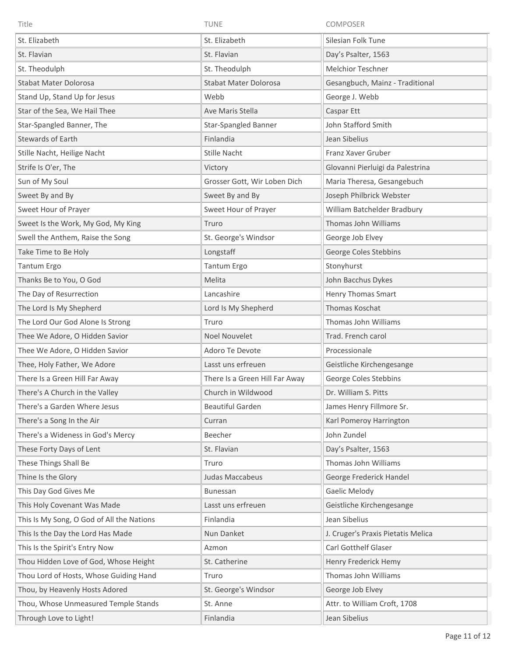| Title                                     | <b>TUNE</b>                    | <b>COMPOSER</b>                    |
|-------------------------------------------|--------------------------------|------------------------------------|
| St. Elizabeth                             | St. Elizabeth                  | Silesian Folk Tune                 |
| St. Flavian                               | St. Flavian                    | Day's Psalter, 1563                |
| St. Theodulph                             | St. Theodulph                  | Melchior Teschner                  |
| <b>Stabat Mater Dolorosa</b>              | <b>Stabat Mater Dolorosa</b>   | Gesangbuch, Mainz - Traditional    |
| Stand Up, Stand Up for Jesus              | Webb                           | George J. Webb                     |
| Star of the Sea, We Hail Thee             | Ave Maris Stella               | Caspar Ett                         |
| Star-Spangled Banner, The                 | Star-Spangled Banner           | John Stafford Smith                |
| <b>Stewards of Earth</b>                  | Finlandia                      | Jean Sibelius                      |
| Stille Nacht, Heilige Nacht               | Stille Nacht                   | Franz Xaver Gruber                 |
| Strife Is O'er, The                       | Victory                        | Glovanni Pierluigi da Palestrina   |
| Sun of My Soul                            | Grosser Gott, Wir Loben Dich   | Maria Theresa, Gesangebuch         |
| Sweet By and By                           | Sweet By and By                | Joseph Philbrick Webster           |
| Sweet Hour of Prayer                      | Sweet Hour of Prayer           | William Batchelder Bradbury        |
| Sweet Is the Work, My God, My King        | Truro                          | Thomas John Williams               |
| Swell the Anthem, Raise the Song          | St. George's Windsor           | George Job Elvey                   |
| Take Time to Be Holy                      | Longstaff                      | George Coles Stebbins              |
| Tantum Ergo                               | Tantum Ergo                    | Stonyhurst                         |
| Thanks Be to You, O God                   | Melita                         | John Bacchus Dykes                 |
| The Day of Resurrection                   | Lancashire                     | Henry Thomas Smart                 |
| The Lord Is My Shepherd                   | Lord Is My Shepherd            | Thomas Koschat                     |
| The Lord Our God Alone Is Strong          | Truro                          | Thomas John Williams               |
| Thee We Adore, O Hidden Savior            | <b>Noel Nouvelet</b>           | Trad. French carol                 |
| Thee We Adore, O Hidden Savior            | Adoro Te Devote                | Processionale                      |
| Thee, Holy Father, We Adore               | Lasst uns erfreuen             | Geistliche Kirchengesange          |
| There Is a Green Hill Far Away            | There Is a Green Hill Far Away | George Coles Stebbins              |
| There's A Church in the Valley            | Church in Wildwood             | Dr. William S. Pitts               |
| There's a Garden Where Jesus              | <b>Beautiful Garden</b>        | James Henry Fillmore Sr.           |
| There's a Song In the Air                 | Curran                         | Karl Pomeroy Harrington            |
| There's a Wideness in God's Mercy         | Beecher                        | John Zundel                        |
| These Forty Days of Lent                  | St. Flavian                    | Day's Psalter, 1563                |
| These Things Shall Be                     | Truro                          | Thomas John Williams               |
| Thine Is the Glory                        | Judas Maccabeus                | George Frederick Handel            |
| This Day God Gives Me                     | Bunessan                       | Gaelic Melody                      |
| This Holy Covenant Was Made               | Lasst uns erfreuen             | Geistliche Kirchengesange          |
| This Is My Song, O God of All the Nations | Finlandia                      | Jean Sibelius                      |
| This Is the Day the Lord Has Made         | Nun Danket                     | J. Cruger's Praxis Pietatis Melica |
| This Is the Spirit's Entry Now            | Azmon                          | Carl Gotthelf Glaser               |
| Thou Hidden Love of God, Whose Height     | St. Catherine                  | Henry Frederick Hemy               |
| Thou Lord of Hosts, Whose Guiding Hand    | Truro                          | Thomas John Williams               |
| Thou, by Heavenly Hosts Adored            | St. George's Windsor           | George Job Elvey                   |
| Thou, Whose Unmeasured Temple Stands      | St. Anne                       | Attr. to William Croft, 1708       |
| Through Love to Light!                    | Finlandia                      | Jean Sibelius                      |